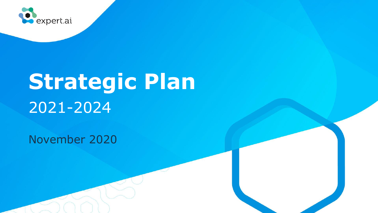

# **Strategic Plan** 2021-2024

November 2020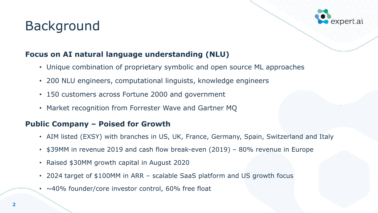# Background



#### **Focus on AI natural language understanding (NLU)**

- Unique combination of proprietary symbolic and open source ML approaches
- 200 NLU engineers, computational linguists, knowledge engineers
- 150 customers across Fortune 2000 and government
- Market recognition from Forrester Wave and Gartner MQ

#### **Public Company – Poised for Growth**

- AIM listed (EXSY) with branches in US, UK, France, Germany, Spain, Switzerland and Italy
- \$39MM in revenue 2019 and cash flow break-even (2019) 80% revenue in Europe
- Raised \$30MM growth capital in August 2020
- 2024 target of \$100MM in ARR scalable SaaS platform and US growth focus
- $\sim$  40% founder/core investor control, 60% free float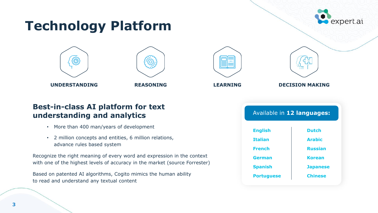# expert.ai **Technology Platform UNDERSTANDING REASONING LEARNING DECISION MAKING**

#### **Best-in-class AI platform for text understanding and analytics**

- More than 400 man/years of development
- 2 million concepts and entities, 6 million relations, advance rules based system

Recognize the right meaning of every word and expression in the context with one of the highest levels of accuracy in the market (source Forrester)

Based on patented AI algorithms, Cogito mimics the human ability to read and understand any textual content

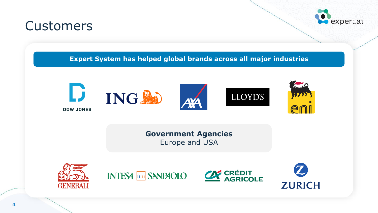### **Customers**



**Expert System has helped global brands across all major industries**



**Government Agencies**  Europe and USA







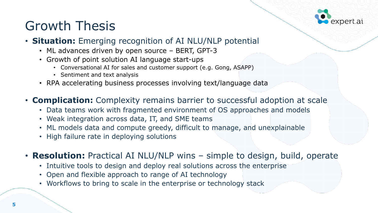# Growth Thesis



#### • **Situation:** Emerging recognition of AI NLU/NLP potential

- ML advances driven by open source BERT, GPT-3
- Growth of point solution AI language start-ups
	- Conversational AI for sales and customer support (e.g. Gong, ASAPP)
	- Sentiment and text analysis
- RPA accelerating business processes involving text/language data
- **Complication:** Complexity remains barrier to successful adoption at scale
	- Data teams work with fragmented environment of OS approaches and models
	- Weak integration across data, IT, and SME teams
	- ML models data and compute greedy, difficult to manage, and unexplainable
	- High failure rate in deploying solutions
- **Resolution:** Practical AI NLU/NLP wins simple to design, build, operate
	- Intuitive tools to design and deploy real solutions across the enterprise
	- Open and flexible approach to range of AI technology
	- Workflows to bring to scale in the enterprise or technology stack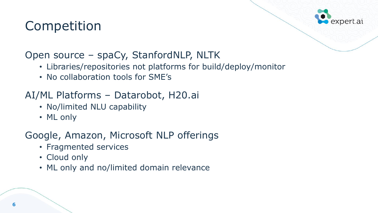# Competition



#### Open source – spaCy, StanfordNLP, NLTK

- Libraries/repositories not platforms for build/deploy/monitor
- No collaboration tools for SME's

#### AI/ML Platforms – Datarobot, H20.ai

- No/limited NLU capability
- ML only

#### Google, Amazon, Microsoft NLP offerings

- Fragmented services
- Cloud only
- ML only and no/limited domain relevance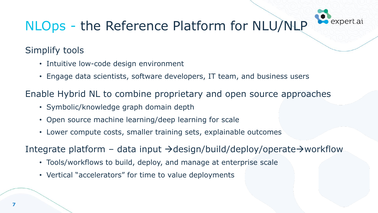# NLOps - the Reference Platform for NLU/NLP

#### Simplify tools

- Intuitive low-code design environment
- Engage data scientists, software developers, IT team, and business users

Enable Hybrid NL to combine proprietary and open source approaches

- Symbolic/knowledge graph domain depth
- Open source machine learning/deep learning for scale
- Lower compute costs, smaller training sets, explainable outcomes

Integrate platform – data input →design/build/deploy/operate→workflow

- Tools/workflows to build, deploy, and manage at enterprise scale
- Vertical "accelerators" for time to value deployments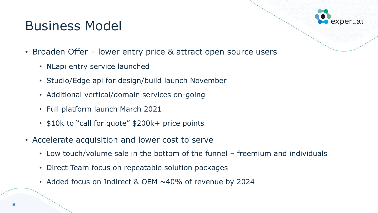# Business Model



- Broaden Offer lower entry price & attract open source users
	- NLapi entry service launched
	- Studio/Edge api for design/build launch November
	- Additional vertical/domain services on-going
	- Full platform launch March 2021
	- \$10k to "call for quote" \$200k+ price points
- Accelerate acquisition and lower cost to serve
	- Low touch/volume sale in the bottom of the funnel freemium and individuals
	- Direct Team focus on repeatable solution packages
	- Added focus on Indirect & OEM ~40% of revenue by 2024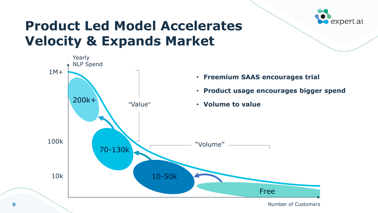

## **Product Led Model Accelerates Velocity & Expands Market**



**9**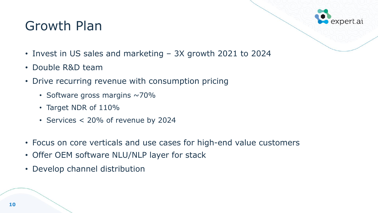## Growth Plan



- Invest in US sales and marketing 3X growth 2021 to 2024
- Double R&D team
- Drive recurring revenue with consumption pricing
	- Software gross margins  $\sim$  70%
	- Target NDR of 110%
	- Services < 20% of revenue by 2024
- Focus on core verticals and use cases for high-end value customers
- Offer OEM software NLU/NLP layer for stack
- Develop channel distribution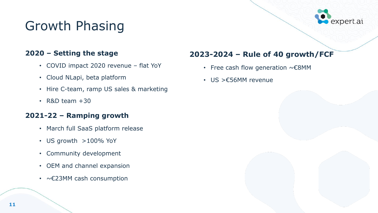# Growth Phasing



#### **2020 – Setting the stage**

- COVID impact 2020 revenue flat YoY
- Cloud NLapi, beta platform
- Hire C-team, ramp US sales & marketing
- $\cdot$  R&D team  $+30$

#### **2021-22 – Ramping growth**

- March full SaaS platform release
- US growth >100% YoY
- Community development
- OEM and channel expansion
- ~€23MM cash consumption

#### **2023-2024 – Rule of 40 growth/FCF**

- Free cash flow generation  $\sim \epsilon$ 8MM
- US >€56MM revenue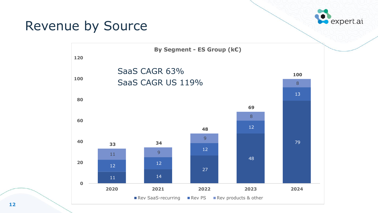### Revenue by Source



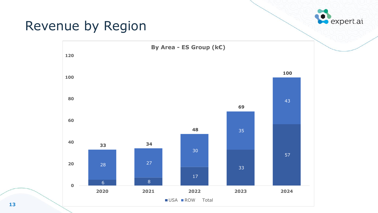### Revenue by Region